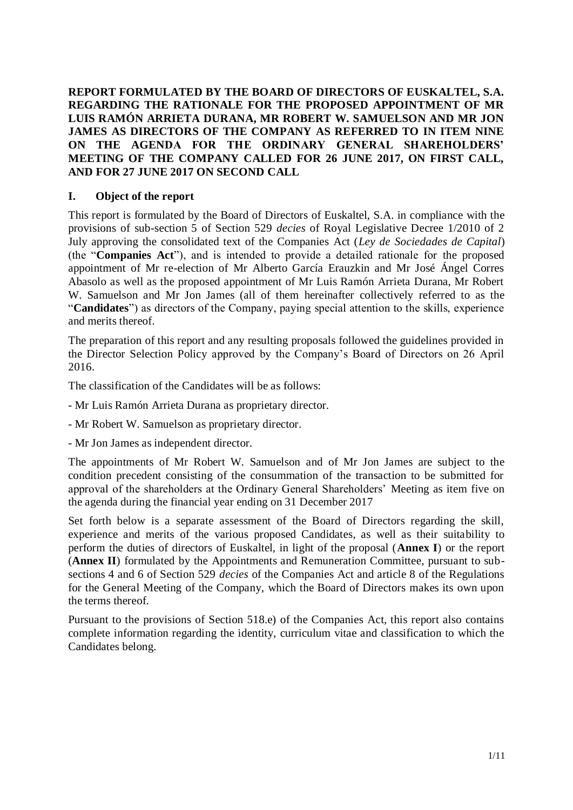**REPORT FORMULATED BY THE BOARD OF DIRECTORS OF EUSKALTEL, S.A. REGARDING THE RATIONALE FOR THE PROPOSED APPOINTMENT OF MR LUIS RAMÓN ARRIETA DURANA, MR ROBERT W. SAMUELSON AND MR JON JAMES AS DIRECTORS OF THE COMPANY AS REFERRED TO IN ITEM NINE ON THE AGENDA FOR THE ORDINARY GENERAL SHAREHOLDERS' MEETING OF THE COMPANY CALLED FOR 26 JUNE 2017, ON FIRST CALL, AND FOR 27 JUNE 2017 ON SECOND CALL** 

### **I. Object of the report**

This report is formulated by the Board of Directors of Euskaltel, S.A. in compliance with the provisions of sub-section 5 of Section 529 *decies* of Royal Legislative Decree 1/2010 of 2 July approving the consolidated text of the Companies Act (*Ley de Sociedades de Capital*) (the "**Companies Act**"), and is intended to provide a detailed rationale for the proposed appointment of Mr re-election of Mr Alberto García Erauzkin and Mr José Ángel Corres Abasolo as well as the proposed appointment of Mr Luis Ramón Arrieta Durana, Mr Robert W. Samuelson and Mr Jon James (all of them hereinafter collectively referred to as the "**Candidates**") as directors of the Company, paying special attention to the skills, experience and merits thereof.

The preparation of this report and any resulting proposals followed the guidelines provided in the Director Selection Policy approved by the Company's Board of Directors on 26 April 2016.

The classification of the Candidates will be as follows:

- Mr Luis Ramón Arrieta Durana as proprietary director.
- Mr Robert W. Samuelson as proprietary director.
- Mr Jon James as independent director.

The appointments of Mr Robert W. Samuelson and of Mr Jon James are subject to the condition precedent consisting of the consummation of the transaction to be submitted for approval of the shareholders at the Ordinary General Shareholders' Meeting as item five on the agenda during the financial year ending on 31 December 2017

Set forth below is a separate assessment of the Board of Directors regarding the skill, experience and merits of the various proposed Candidates, as well as their suitability to perform the duties of directors of Euskaltel, in light of the proposal (**Annex I**) or the report (**Annex II**) formulated by the Appointments and Remuneration Committee, pursuant to subsections 4 and 6 of Section 529 *decies* of the Companies Act and article 8 of the Regulations for the General Meeting of the Company, which the Board of Directors makes its own upon the terms thereof.

Pursuant to the provisions of Section 518.e) of the Companies Act, this report also contains complete information regarding the identity, curriculum vitae and classification to which the Candidates belong.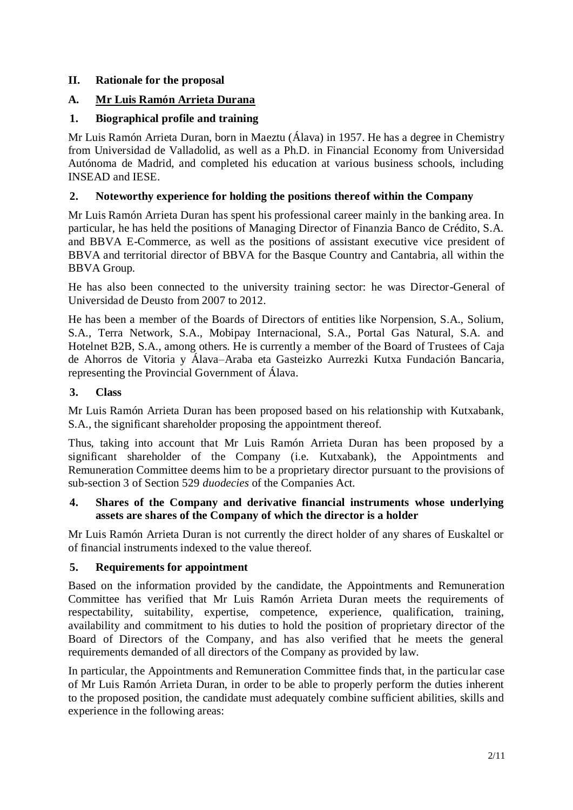# <span id="page-1-0"></span>**II. Rationale for the proposal**

# <span id="page-1-1"></span>**A. Mr Luis Ramón Arrieta Durana**

# **1. Biographical profile and training**

Mr Luis Ramón Arrieta Duran, born in Maeztu (Álava) in 1957. He has a degree in Chemistry from Universidad de Valladolid, as well as a Ph.D. in Financial Economy from Universidad Autónoma de Madrid, and completed his education at various business schools, including INSEAD and IESE.

## **2. Noteworthy experience for holding the positions thereof within the Company**

Mr Luis Ramón Arrieta Duran has spent his professional career mainly in the banking area. In particular, he has held the positions of Managing Director of Finanzia Banco de Crédito, S.A. and BBVA E-Commerce, as well as the positions of assistant executive vice president of BBVA and territorial director of BBVA for the Basque Country and Cantabria, all within the BBVA Group.

He has also been connected to the university training sector: he was Director-General of Universidad de Deusto from 2007 to 2012.

He has been a member of the Boards of Directors of entities like Norpension, S.A., Solium, S.A., Terra Network, S.A., Mobipay Internacional, S.A., Portal Gas Natural, S.A. and Hotelnet B2B, S.A., among others. He is currently a member of the Board of Trustees of Caja de Ahorros de Vitoria y Álava–Araba eta Gasteizko Aurrezki Kutxa Fundación Bancaria, representing the Provincial Government of Álava.

## **3. Class**

Mr Luis Ramón Arrieta Duran has been proposed based on his relationship with Kutxabank, S.A., the significant shareholder proposing the appointment thereof.

Thus, taking into account that Mr Luis Ramón Arrieta Duran has been proposed by a significant shareholder of the Company (i.e. Kutxabank), the Appointments and Remuneration Committee deems him to be a proprietary director pursuant to the provisions of sub-section 3 of Section 529 *duodecies* of the Companies Act.

### **4. Shares of the Company and derivative financial instruments whose underlying assets are shares of the Company of which the director is a holder**

Mr Luis Ramón Arrieta Duran is not currently the direct holder of any shares of Euskaltel or of financial instruments indexed to the value thereof.

## <span id="page-1-2"></span>**5. Requirements for appointment**

Based on the information provided by the candidate, the Appointments and Remuneration Committee has verified that Mr Luis Ramón Arrieta Duran meets the requirements of respectability, suitability, expertise, competence, experience, qualification, training, availability and commitment to his duties to hold the position of proprietary director of the Board of Directors of the Company, and has also verified that he meets the general requirements demanded of all directors of the Company as provided by law.

In particular, the Appointments and Remuneration Committee finds that, in the particular case of Mr Luis Ramón Arrieta Duran, in order to be able to properly perform the duties inherent to the proposed position, the candidate must adequately combine sufficient abilities, skills and experience in the following areas: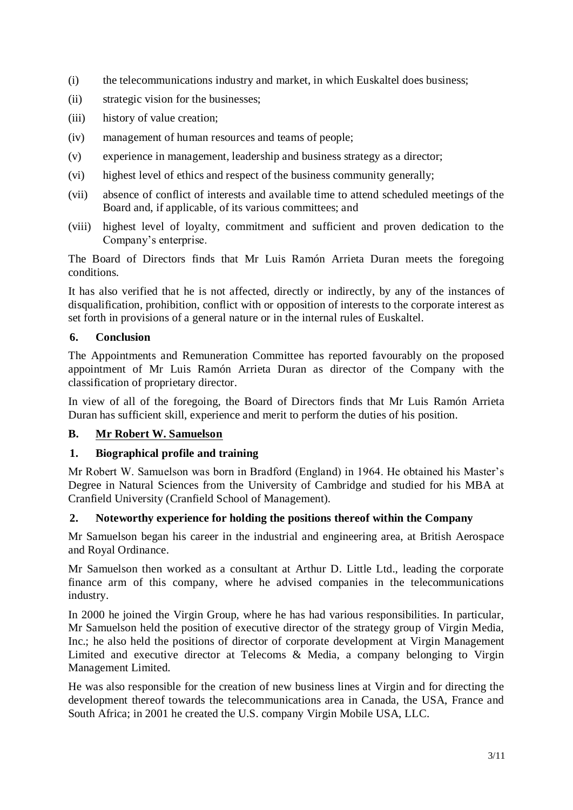- (i) the telecommunications industry and market, in which Euskaltel does business;
- (ii) strategic vision for the businesses;
- (iii) history of value creation;
- (iv) management of human resources and teams of people;
- (v) experience in management, leadership and business strategy as a director;
- (vi) highest level of ethics and respect of the business community generally;
- (vii) absence of conflict of interests and available time to attend scheduled meetings of the Board and, if applicable, of its various committees; and
- (viii) highest level of loyalty, commitment and sufficient and proven dedication to the Company's enterprise.

The Board of Directors finds that Mr Luis Ramón Arrieta Duran meets the foregoing conditions.

It has also verified that he is not affected, directly or indirectly, by any of the instances of disqualification, prohibition, conflict with or opposition of interests to the corporate interest as set forth in provisions of a general nature or in the internal rules of Euskaltel.

### **6. Conclusion**

The Appointments and Remuneration Committee has reported favourably on the proposed appointment of Mr Luis Ramón Arrieta Duran as director of the Company with the classification of proprietary director.

In view of all of the foregoing, the Board of Directors finds that Mr Luis Ramón Arrieta Duran has sufficient skill, experience and merit to perform the duties of his position.

## **B. Mr Robert W. Samuelson**

#### **1. Biographical profile and training**

Mr Robert W. Samuelson was born in Bradford (England) in 1964. He obtained his Master's Degree in Natural Sciences from the University of Cambridge and studied for his MBA at Cranfield University (Cranfield School of Management).

#### **2. Noteworthy experience for holding the positions thereof within the Company**

Mr Samuelson began his career in the industrial and engineering area, at British Aerospace and Royal Ordinance.

Mr Samuelson then worked as a consultant at Arthur D. Little Ltd., leading the corporate finance arm of this company, where he advised companies in the telecommunications industry.

In 2000 he joined the Virgin Group, where he has had various responsibilities. In particular, Mr Samuelson held the position of executive director of the strategy group of Virgin Media, Inc.; he also held the positions of director of corporate development at Virgin Management Limited and executive director at Telecoms & Media, a company belonging to Virgin Management Limited.

He was also responsible for the creation of new business lines at Virgin and for directing the development thereof towards the telecommunications area in Canada, the USA, France and South Africa; in 2001 he created the U.S. company Virgin Mobile USA, LLC.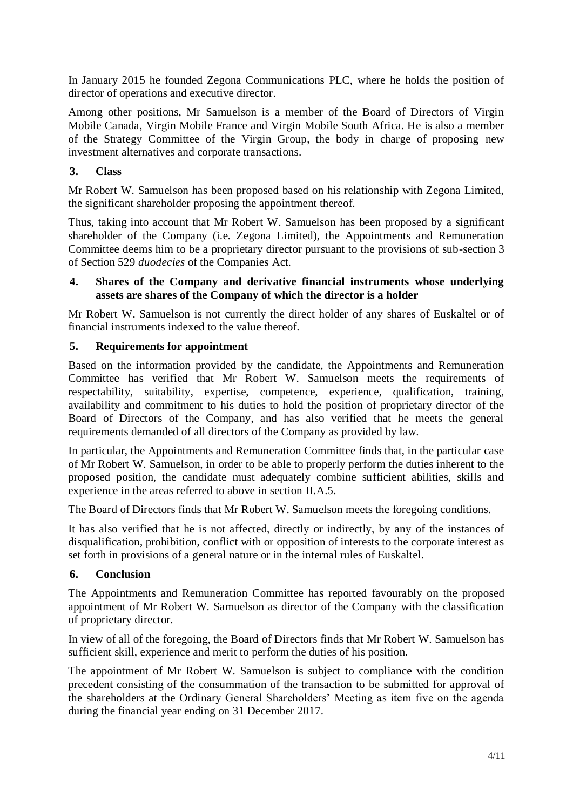In January 2015 he founded Zegona Communications PLC, where he holds the position of director of operations and executive director.

Among other positions, Mr Samuelson is a member of the Board of Directors of Virgin Mobile Canada, Virgin Mobile France and Virgin Mobile South Africa. He is also a member of the Strategy Committee of the Virgin Group, the body in charge of proposing new investment alternatives and corporate transactions.

## **3. Class**

Mr Robert W. Samuelson has been proposed based on his relationship with Zegona Limited, the significant shareholder proposing the appointment thereof.

Thus, taking into account that Mr Robert W. Samuelson has been proposed by a significant shareholder of the Company (i.e. Zegona Limited), the Appointments and Remuneration Committee deems him to be a proprietary director pursuant to the provisions of sub-section 3 of Section 529 *duodecies* of the Companies Act.

## **4. Shares of the Company and derivative financial instruments whose underlying assets are shares of the Company of which the director is a holder**

Mr Robert W. Samuelson is not currently the direct holder of any shares of Euskaltel or of financial instruments indexed to the value thereof.

# **5. Requirements for appointment**

Based on the information provided by the candidate, the Appointments and Remuneration Committee has verified that Mr Robert W. Samuelson meets the requirements of respectability, suitability, expertise, competence, experience, qualification, training, availability and commitment to his duties to hold the position of proprietary director of the Board of Directors of the Company, and has also verified that he meets the general requirements demanded of all directors of the Company as provided by law.

In particular, the Appointments and Remuneration Committee finds that, in the particular case of Mr Robert W. Samuelson, in order to be able to properly perform the duties inherent to the proposed position, the candidate must adequately combine sufficient abilities, skills and experience in the areas referred to above in section [II.](#page-1-0)[A](#page-1-1)[.5.](#page-1-2)

The Board of Directors finds that Mr Robert W. Samuelson meets the foregoing conditions.

It has also verified that he is not affected, directly or indirectly, by any of the instances of disqualification, prohibition, conflict with or opposition of interests to the corporate interest as set forth in provisions of a general nature or in the internal rules of Euskaltel.

## **6. Conclusion**

The Appointments and Remuneration Committee has reported favourably on the proposed appointment of Mr Robert W. Samuelson as director of the Company with the classification of proprietary director.

In view of all of the foregoing, the Board of Directors finds that Mr Robert W. Samuelson has sufficient skill, experience and merit to perform the duties of his position.

The appointment of Mr Robert W. Samuelson is subject to compliance with the condition precedent consisting of the consummation of the transaction to be submitted for approval of the shareholders at the Ordinary General Shareholders' Meeting as item five on the agenda during the financial year ending on 31 December 2017.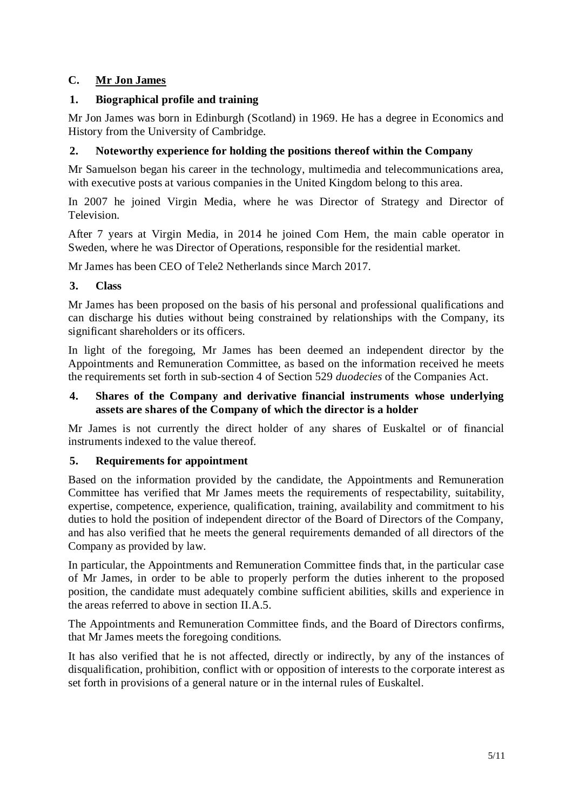# **C. Mr Jon James**

## **1. Biographical profile and training**

Mr Jon James was born in Edinburgh (Scotland) in 1969. He has a degree in Economics and History from the University of Cambridge.

## **2. Noteworthy experience for holding the positions thereof within the Company**

Mr Samuelson began his career in the technology, multimedia and telecommunications area, with executive posts at various companies in the United Kingdom belong to this area.

In 2007 he joined Virgin Media, where he was Director of Strategy and Director of Television.

After 7 years at Virgin Media, in 2014 he joined Com Hem, the main cable operator in Sweden, where he was Director of Operations, responsible for the residential market.

Mr James has been CEO of Tele2 Netherlands since March 2017.

### **3. Class**

Mr James has been proposed on the basis of his personal and professional qualifications and can discharge his duties without being constrained by relationships with the Company, its significant shareholders or its officers.

In light of the foregoing, Mr James has been deemed an independent director by the Appointments and Remuneration Committee, as based on the information received he meets the requirements set forth in sub-section 4 of Section 529 *duodecies* of the Companies Act.

### **4. Shares of the Company and derivative financial instruments whose underlying assets are shares of the Company of which the director is a holder**

Mr James is not currently the direct holder of any shares of Euskaltel or of financial instruments indexed to the value thereof.

## **5. Requirements for appointment**

Based on the information provided by the candidate, the Appointments and Remuneration Committee has verified that Mr James meets the requirements of respectability, suitability, expertise, competence, experience, qualification, training, availability and commitment to his duties to hold the position of independent director of the Board of Directors of the Company, and has also verified that he meets the general requirements demanded of all directors of the Company as provided by law.

In particular, the Appointments and Remuneration Committee finds that, in the particular case of Mr James, in order to be able to properly perform the duties inherent to the proposed position, the candidate must adequately combine sufficient abilities, skills and experience in the areas referred to above in section [II.](#page-1-0)[A](#page-1-1)[.5.](#page-1-2)

The Appointments and Remuneration Committee finds, and the Board of Directors confirms, that Mr James meets the foregoing conditions.

It has also verified that he is not affected, directly or indirectly, by any of the instances of disqualification, prohibition, conflict with or opposition of interests to the corporate interest as set forth in provisions of a general nature or in the internal rules of Euskaltel.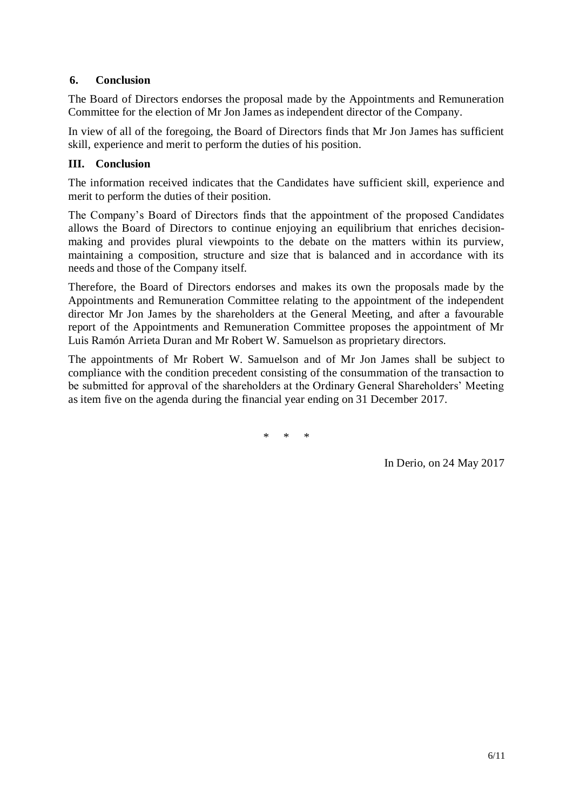## **6. Conclusion**

The Board of Directors endorses the proposal made by the Appointments and Remuneration Committee for the election of Mr Jon James as independent director of the Company.

In view of all of the foregoing, the Board of Directors finds that Mr Jon James has sufficient skill, experience and merit to perform the duties of his position.

# **III. Conclusion**

The information received indicates that the Candidates have sufficient skill, experience and merit to perform the duties of their position.

The Company's Board of Directors finds that the appointment of the proposed Candidates allows the Board of Directors to continue enjoying an equilibrium that enriches decisionmaking and provides plural viewpoints to the debate on the matters within its purview, maintaining a composition, structure and size that is balanced and in accordance with its needs and those of the Company itself.

Therefore, the Board of Directors endorses and makes its own the proposals made by the Appointments and Remuneration Committee relating to the appointment of the independent director Mr Jon James by the shareholders at the General Meeting, and after a favourable report of the Appointments and Remuneration Committee proposes the appointment of Mr Luis Ramón Arrieta Duran and Mr Robert W. Samuelson as proprietary directors.

The appointments of Mr Robert W. Samuelson and of Mr Jon James shall be subject to compliance with the condition precedent consisting of the consummation of the transaction to be submitted for approval of the shareholders at the Ordinary General Shareholders' Meeting as item five on the agenda during the financial year ending on 31 December 2017.

\* \* \*

In Derio, on 24 May 2017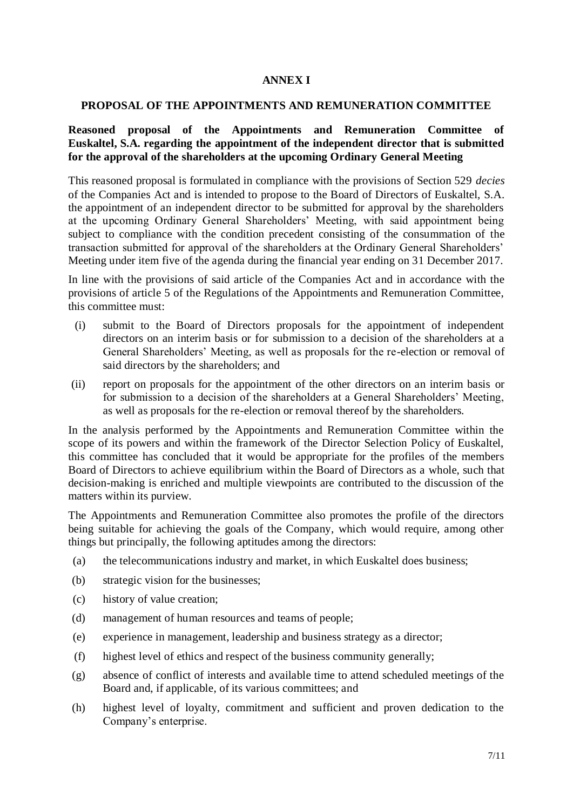#### **ANNEX I**

#### **PROPOSAL OF THE APPOINTMENTS AND REMUNERATION COMMITTEE**

### **Reasoned proposal of the Appointments and Remuneration Committee of Euskaltel, S.A. regarding the appointment of the independent director that is submitted for the approval of the shareholders at the upcoming Ordinary General Meeting**

This reasoned proposal is formulated in compliance with the provisions of Section 529 *decies* of the Companies Act and is intended to propose to the Board of Directors of Euskaltel, S.A. the appointment of an independent director to be submitted for approval by the shareholders at the upcoming Ordinary General Shareholders' Meeting, with said appointment being subject to compliance with the condition precedent consisting of the consummation of the transaction submitted for approval of the shareholders at the Ordinary General Shareholders' Meeting under item five of the agenda during the financial year ending on 31 December 2017.

In line with the provisions of said article of the Companies Act and in accordance with the provisions of article 5 of the Regulations of the Appointments and Remuneration Committee, this committee must:

- (i) submit to the Board of Directors proposals for the appointment of independent directors on an interim basis or for submission to a decision of the shareholders at a General Shareholders' Meeting, as well as proposals for the re-election or removal of said directors by the shareholders; and
- (ii) report on proposals for the appointment of the other directors on an interim basis or for submission to a decision of the shareholders at a General Shareholders' Meeting, as well as proposals for the re-election or removal thereof by the shareholders.

In the analysis performed by the Appointments and Remuneration Committee within the scope of its powers and within the framework of the Director Selection Policy of Euskaltel, this committee has concluded that it would be appropriate for the profiles of the members Board of Directors to achieve equilibrium within the Board of Directors as a whole, such that decision-making is enriched and multiple viewpoints are contributed to the discussion of the matters within its purview.

The Appointments and Remuneration Committee also promotes the profile of the directors being suitable for achieving the goals of the Company, which would require, among other things but principally, the following aptitudes among the directors:

- (a) the telecommunications industry and market, in which Euskaltel does business;
- (b) strategic vision for the businesses;
- (c) history of value creation;
- (d) management of human resources and teams of people;
- (e) experience in management, leadership and business strategy as a director;
- (f) highest level of ethics and respect of the business community generally;
- (g) absence of conflict of interests and available time to attend scheduled meetings of the Board and, if applicable, of its various committees; and
- (h) highest level of loyalty, commitment and sufficient and proven dedication to the Company's enterprise.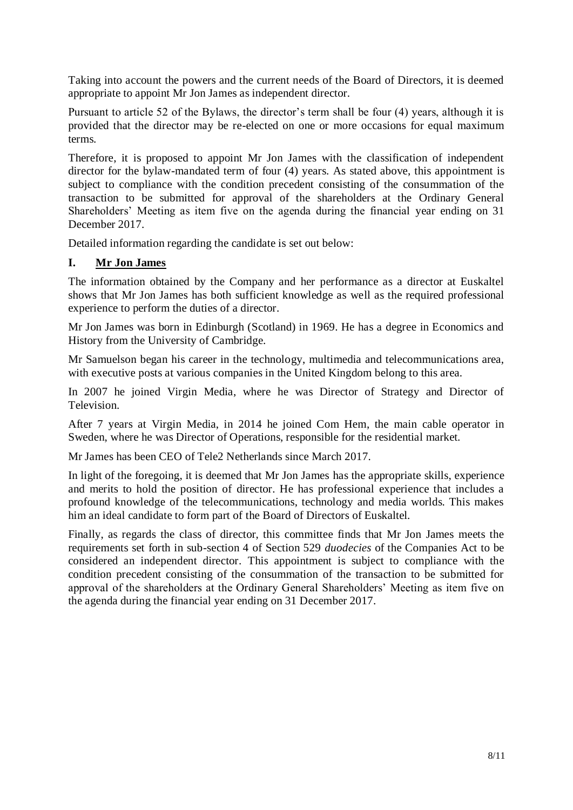Taking into account the powers and the current needs of the Board of Directors, it is deemed appropriate to appoint Mr Jon James as independent director.

Pursuant to article 52 of the Bylaws, the director's term shall be four (4) years, although it is provided that the director may be re-elected on one or more occasions for equal maximum terms.

Therefore, it is proposed to appoint Mr Jon James with the classification of independent director for the bylaw-mandated term of four (4) years. As stated above, this appointment is subject to compliance with the condition precedent consisting of the consummation of the transaction to be submitted for approval of the shareholders at the Ordinary General Shareholders' Meeting as item five on the agenda during the financial year ending on 31 December 2017.

Detailed information regarding the candidate is set out below:

# **I. Mr Jon James**

The information obtained by the Company and her performance as a director at Euskaltel shows that Mr Jon James has both sufficient knowledge as well as the required professional experience to perform the duties of a director.

Mr Jon James was born in Edinburgh (Scotland) in 1969. He has a degree in Economics and History from the University of Cambridge.

Mr Samuelson began his career in the technology, multimedia and telecommunications area, with executive posts at various companies in the United Kingdom belong to this area.

In 2007 he joined Virgin Media, where he was Director of Strategy and Director of Television.

After 7 years at Virgin Media, in 2014 he joined Com Hem, the main cable operator in Sweden, where he was Director of Operations, responsible for the residential market.

Mr James has been CEO of Tele2 Netherlands since March 2017.

In light of the foregoing, it is deemed that Mr Jon James has the appropriate skills, experience and merits to hold the position of director. He has professional experience that includes a profound knowledge of the telecommunications, technology and media worlds. This makes him an ideal candidate to form part of the Board of Directors of Euskaltel.

Finally, as regards the class of director, this committee finds that Mr Jon James meets the requirements set forth in sub-section 4 of Section 529 *duodecies* of the Companies Act to be considered an independent director. This appointment is subject to compliance with the condition precedent consisting of the consummation of the transaction to be submitted for approval of the shareholders at the Ordinary General Shareholders' Meeting as item five on the agenda during the financial year ending on 31 December 2017.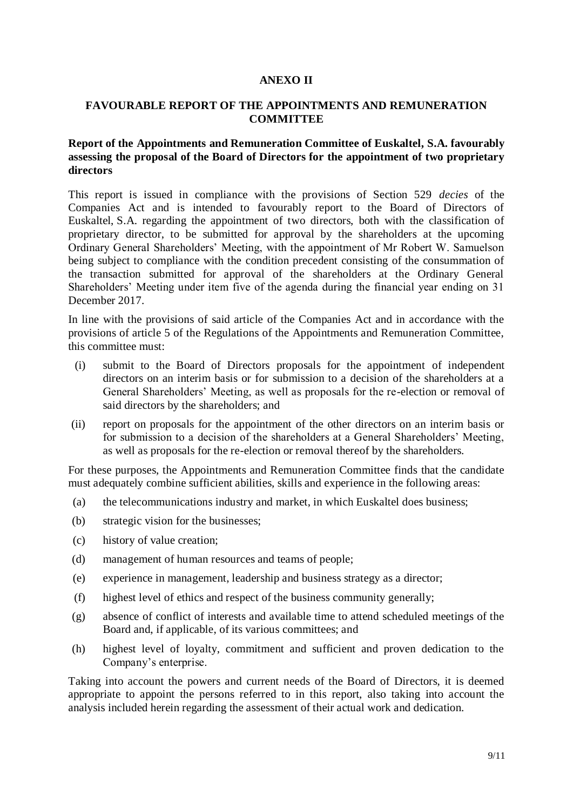#### **ANEXO II**

#### **FAVOURABLE REPORT OF THE APPOINTMENTS AND REMUNERATION COMMITTEE**

#### **Report of the Appointments and Remuneration Committee of Euskaltel, S.A. favourably assessing the proposal of the Board of Directors for the appointment of two proprietary directors**

This report is issued in compliance with the provisions of Section 529 *decies* of the Companies Act and is intended to favourably report to the Board of Directors of Euskaltel, S.A. regarding the appointment of two directors, both with the classification of proprietary director, to be submitted for approval by the shareholders at the upcoming Ordinary General Shareholders' Meeting, with the appointment of Mr Robert W. Samuelson being subject to compliance with the condition precedent consisting of the consummation of the transaction submitted for approval of the shareholders at the Ordinary General Shareholders' Meeting under item five of the agenda during the financial year ending on 31 December 2017.

In line with the provisions of said article of the Companies Act and in accordance with the provisions of article 5 of the Regulations of the Appointments and Remuneration Committee, this committee must:

- (i) submit to the Board of Directors proposals for the appointment of independent directors on an interim basis or for submission to a decision of the shareholders at a General Shareholders' Meeting, as well as proposals for the re-election or removal of said directors by the shareholders; and
- (ii) report on proposals for the appointment of the other directors on an interim basis or for submission to a decision of the shareholders at a General Shareholders' Meeting, as well as proposals for the re-election or removal thereof by the shareholders.

For these purposes, the Appointments and Remuneration Committee finds that the candidate must adequately combine sufficient abilities, skills and experience in the following areas:

- (a) the telecommunications industry and market, in which Euskaltel does business;
- (b) strategic vision for the businesses;
- (c) history of value creation;
- (d) management of human resources and teams of people;
- (e) experience in management, leadership and business strategy as a director;
- (f) highest level of ethics and respect of the business community generally;
- (g) absence of conflict of interests and available time to attend scheduled meetings of the Board and, if applicable, of its various committees; and
- (h) highest level of loyalty, commitment and sufficient and proven dedication to the Company's enterprise.

Taking into account the powers and current needs of the Board of Directors, it is deemed appropriate to appoint the persons referred to in this report, also taking into account the analysis included herein regarding the assessment of their actual work and dedication.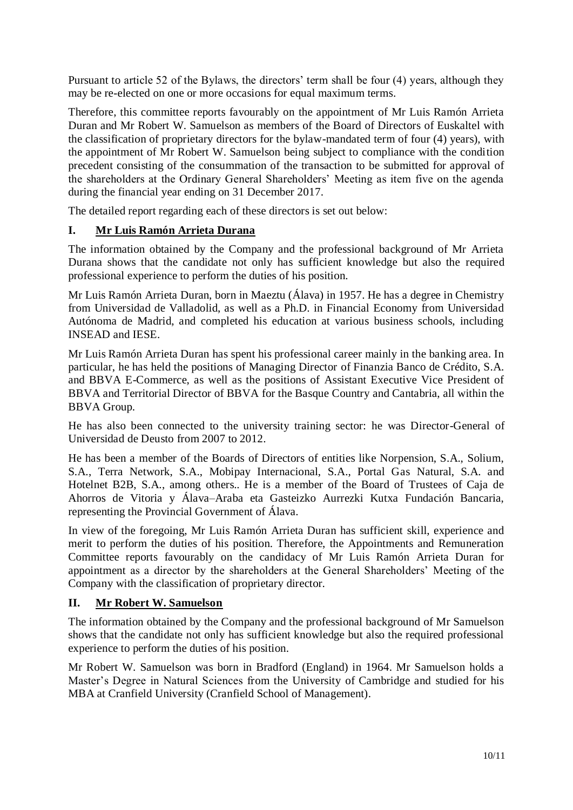Pursuant to article 52 of the Bylaws, the directors' term shall be four (4) years, although they may be re-elected on one or more occasions for equal maximum terms.

Therefore, this committee reports favourably on the appointment of Mr Luis Ramón Arrieta Duran and Mr Robert W. Samuelson as members of the Board of Directors of Euskaltel with the classification of proprietary directors for the bylaw-mandated term of four (4) years), with the appointment of Mr Robert W. Samuelson being subject to compliance with the condition precedent consisting of the consummation of the transaction to be submitted for approval of the shareholders at the Ordinary General Shareholders' Meeting as item five on the agenda during the financial year ending on 31 December 2017.

The detailed report regarding each of these directors is set out below:

# **I. Mr Luis Ramón Arrieta Durana**

The information obtained by the Company and the professional background of Mr Arrieta Durana shows that the candidate not only has sufficient knowledge but also the required professional experience to perform the duties of his position.

Mr Luis Ramón Arrieta Duran, born in Maeztu (Álava) in 1957. He has a degree in Chemistry from Universidad de Valladolid, as well as a Ph.D. in Financial Economy from Universidad Autónoma de Madrid, and completed his education at various business schools, including INSEAD and IESE.

Mr Luis Ramón Arrieta Duran has spent his professional career mainly in the banking area. In particular, he has held the positions of Managing Director of Finanzia Banco de Crédito, S.A. and BBVA E-Commerce, as well as the positions of Assistant Executive Vice President of BBVA and Territorial Director of BBVA for the Basque Country and Cantabria, all within the BBVA Group.

He has also been connected to the university training sector: he was Director-General of Universidad de Deusto from 2007 to 2012.

He has been a member of the Boards of Directors of entities like Norpension, S.A., Solium, S.A., Terra Network, S.A., Mobipay Internacional, S.A., Portal Gas Natural, S.A. and Hotelnet B2B, S.A., among others.. He is a member of the Board of Trustees of Caja de Ahorros de Vitoria y Álava–Araba eta Gasteizko Aurrezki Kutxa Fundación Bancaria, representing the Provincial Government of Álava.

In view of the foregoing, Mr Luis Ramón Arrieta Duran has sufficient skill, experience and merit to perform the duties of his position. Therefore, the Appointments and Remuneration Committee reports favourably on the candidacy of Mr Luis Ramón Arrieta Duran for appointment as a director by the shareholders at the General Shareholders' Meeting of the Company with the classification of proprietary director.

## **II. Mr Robert W. Samuelson**

The information obtained by the Company and the professional background of Mr Samuelson shows that the candidate not only has sufficient knowledge but also the required professional experience to perform the duties of his position.

Mr Robert W. Samuelson was born in Bradford (England) in 1964. Mr Samuelson holds a Master's Degree in Natural Sciences from the University of Cambridge and studied for his MBA at Cranfield University (Cranfield School of Management).